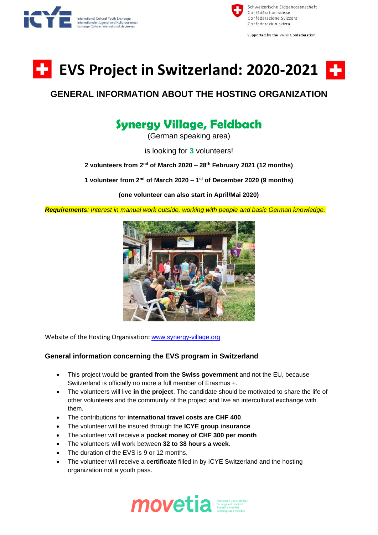



Supported by the Swiss Confederation.



## **GENERAL INFORMATION ABOUT THE HOSTING ORGANIZATION**

## **Synergy Village, Feldbach**

(German speaking area)

is looking for **3** volunteers!

**2 volunteers from 2 nd of March 2020 – 28th February 2021 (12 months)**

**1 volunteer from 2nd of March 2020 – 1 st of December 2020 (9 months)**

**(one volunteer can also start in April/Mai 2020)**

*Requirements: Interest in manual work outside, working with people and basic German knowledge.*



Website of the Hosting Organisation: [www.synergy-village.org](http://www.synergy-village.org/)

## **General information concerning the EVS program in Switzerland**

- This project would be **granted from the Swiss government** and not the EU, because Switzerland is officially no more a full member of Erasmus +.
- The volunteers will live **in the project**. The candidate should be motivated to share the life of other volunteers and the community of the project and live an intercultural exchange with them.
- The contributions for **international travel costs are CHF 400**.
- The volunteer will be insured through the **ICYE group insurance**
- The volunteer will receive a **pocket money of CHF 300 per month**
- The volunteers will work between **32 to 38 hours a week**.
- The duration of the EVS is 9 or 12 months.
- The volunteer will receive a **certificate** filled in by ICYE Switzerland and the hosting organization not a youth pass.